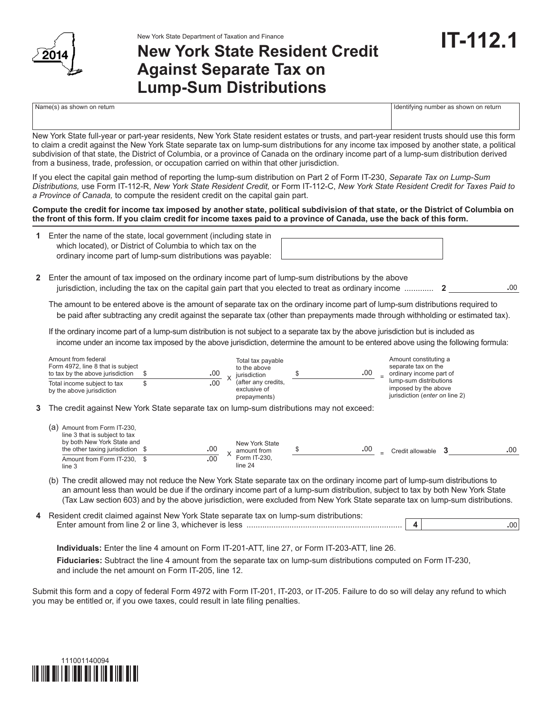

## **New York State Resident Credit Against Separate Tax on Lump-Sum Distributions**

Name(s) as shown on return in the state of the state of the state of the state of the state of the state of the state of the state of the state of the state of the state of the state of the state of the state of the state

New York State full-year or part-year residents, New York State resident estates or trusts, and part-year resident trusts should use this form to claim a credit against the New York State separate tax on lump-sum distributions for any income tax imposed by another state, a political subdivision of that state, the District of Columbia, or a province of Canada on the ordinary income part of a lump-sum distribution derived from a business, trade, profession, or occupation carried on within that other jurisdiction.

If you elect the capital gain method of reporting the lump-sum distribution on Part 2 of Form IT-230, *Separate Tax on Lump-Sum Distributions,* use Form IT-112-R, *New York State Resident Credit,* or Form IT-112-C, *New York State Resident Credit for Taxes Paid to a Province of Canada,* to compute the resident credit on the capital gain part.

**Compute the credit for income tax imposed by another state, political subdivision of that state, or the District of Columbia on the front of this form. If you claim credit for income taxes paid to a province of Canada, use the back of this form.**

**1** Enter the name of the state, local government (including state in which located), or District of Columbia to which tax on the ordinary income part of lump-sum distributions was payable:

**2** Enter the amount of tax imposed on the ordinary income part of lump-sum distributions by the above jurisdiction, including the tax on the capital gain part that you elected to treat as ordinary income ............. **2 .**00

 The amount to be entered above is the amount of separate tax on the ordinary income part of lump-sum distributions required to be paid after subtracting any credit against the separate tax (other than prepayments made through withholding or estimated tax).

 If the ordinary income part of a lump-sum distribution is not subject to a separate tax by the above jurisdiction but is included as income under an income tax imposed by the above jurisdiction, determine the amount to be entered above using the following formula:

| Amount from federal<br>Form 4972, line 8 that is subject<br>to tax by the above jurisdiction |   | .00 | Total tax payable<br>to the above<br>iurisdiction   | .00 | Amount constituting a<br>separate tax on the<br>ordinary income part of                  |
|----------------------------------------------------------------------------------------------|---|-----|-----------------------------------------------------|-----|------------------------------------------------------------------------------------------|
| Total income subject to tax<br>by the above jurisdiction                                     | S | .00 | (after any credits,<br>exclusive of<br>prepayments) |     | lump-sum distributions<br>imposed by the above<br>jurisdiction ( <i>enter on</i> line 2) |
| 3 The credit against New York State separate tax on lump-sum distributions may not exceed:   |   |     |                                                     |     |                                                                                          |
| Amount from Form IT-230,<br>(a)                                                              |   |     |                                                     |     |                                                                                          |

| line 3 that is subject to tax<br>by both New York State and<br>the other taxing jurisdiction | .00 | New York State<br>amount from | .00 | $=$ | Credit allowable | .00 |
|----------------------------------------------------------------------------------------------|-----|-------------------------------|-----|-----|------------------|-----|
| Amount from Form IT-230.<br>line 3                                                           | .00 | Form IT-230.<br>line 24       |     |     |                  |     |

- (b) The credit allowed may not reduce the New York State separate tax on the ordinary income part of lump-sum distributions to an amount less than would be due if the ordinary income part of a lump-sum distribution, subject to tax by both New York State (Tax Law section 603) and by the above jurisdiction, were excluded from New York State separate tax on lump-sum distributions.
- **4** Resident credit claimed against New York State separate tax on lump-sum distributions: Enter amount from line 2 or line 3, whichever is less ..................................................................... **4 .**00

 **Individuals:** Enter the line 4 amount on Form IT-201-ATT, line 27, or Form IT-203-ATT, line 26. **Fiduciaries:** Subtract the line 4 amount from the separate tax on lump-sum distributions computed on Form IT-230, and include the net amount on Form IT-205, line 12.

Submit this form and a copy of federal Form 4972 with Form IT-201, IT-203, or IT-205. Failure to do so will delay any refund to which you may be entitled or, if you owe taxes, could result in late filing penalties.